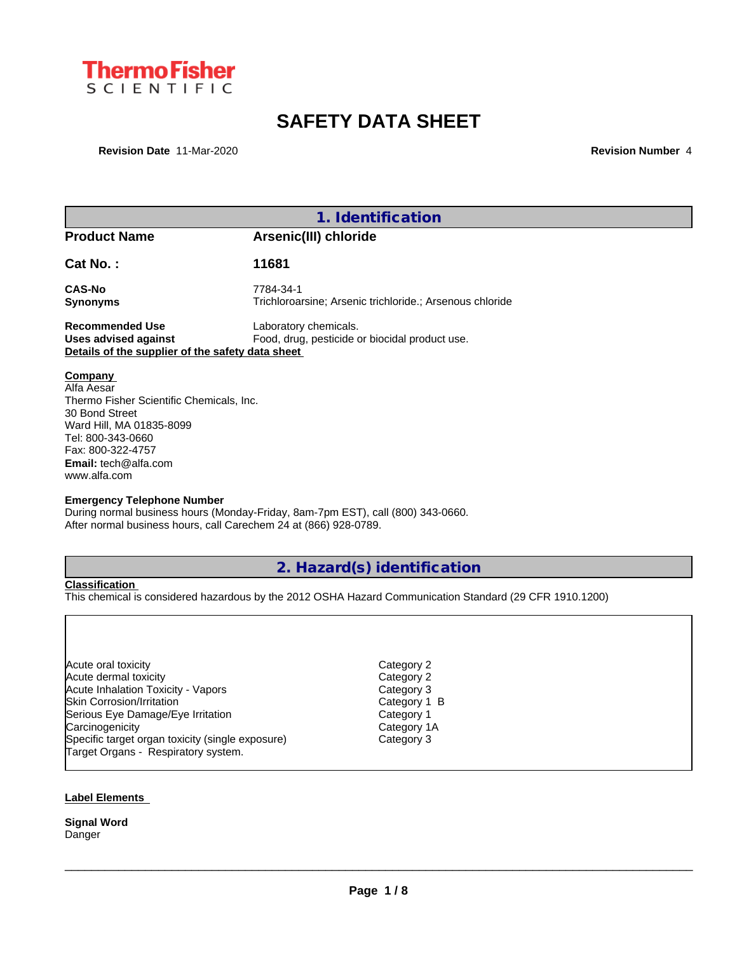

# **SAFETY DATA SHEET**

**Revision Date** 11-Mar-2020 **Revision Revision Revision Number** 4

| 1. Identification                                                                                                                                                                                                                                    |                                                                                 |  |
|------------------------------------------------------------------------------------------------------------------------------------------------------------------------------------------------------------------------------------------------------|---------------------------------------------------------------------------------|--|
| <b>Product Name</b>                                                                                                                                                                                                                                  | Arsenic(III) chloride                                                           |  |
| <b>Cat No.:</b>                                                                                                                                                                                                                                      | 11681                                                                           |  |
| <b>CAS-No</b><br>Synonyms                                                                                                                                                                                                                            | 7784-34-1<br>Trichloroarsine; Arsenic trichloride.; Arsenous chloride           |  |
| <b>Recommended Use</b><br>Laboratory chemicals.<br>Food, drug, pesticide or biocidal product use.<br>Uses advised against<br>Details of the supplier of the safety data sheet                                                                        |                                                                                 |  |
| <b>Company</b><br>Alfa Aesar<br>Thermo Fisher Scientific Chemicals, Inc.<br>30 Bond Street<br>Ward Hill, MA 01835-8099<br>Tel: 800-343-0660<br>Fax: 800-322-4757<br><b>Email:</b> tech@alfa.com<br>www.alfa.com<br><b>Emergency Telephone Number</b> |                                                                                 |  |
| After normal business hours, call Carechem 24 at (866) 928-0789.                                                                                                                                                                                     | During normal business hours (Monday-Friday, 8am-7pm EST), call (800) 343-0660. |  |

## **2. Hazard(s) identification**

**Classification**

This chemical is considered hazardous by the 2012 OSHA Hazard Communication Standard (29 CFR 1910.1200)

Acute oral toxicity Category 2<br>Acute dermal toxicity Category 2 Acute dermal toxicity<br>
Acute Inhalation Toxicity - Vapors<br>
Acute Inhalation Toxicity - Vapors Acute Inhalation Toxicity - Vapors and Marking and Marking Category 3<br>Skin Corrosion/Irritation Category 1 B Skin Corrosion/Irritation **Category 1**<br>
Serious Eye Damage/Eye Irritation **Category 1** Serious Eye Damage/Eye Irritation and Category 1 Category 1<br>Carcinogenicity Category 1A Carcinogenicity Category 1/<br>
Specific target organ toxicity (single exposure) Category 3 Specific target organ toxicity (single exposure) Target Organs - Respiratory system.

 $\_$  ,  $\_$  ,  $\_$  ,  $\_$  ,  $\_$  ,  $\_$  ,  $\_$  ,  $\_$  ,  $\_$  ,  $\_$  ,  $\_$  ,  $\_$  ,  $\_$  ,  $\_$  ,  $\_$  ,  $\_$  ,  $\_$  ,  $\_$  ,  $\_$  ,  $\_$  ,  $\_$  ,  $\_$  ,  $\_$  ,  $\_$  ,  $\_$  ,  $\_$  ,  $\_$  ,  $\_$  ,  $\_$  ,  $\_$  ,  $\_$  ,  $\_$  ,  $\_$  ,  $\_$  ,  $\_$  ,  $\_$  ,  $\_$  ,

### **Label Elements**

**Signal Word** Danger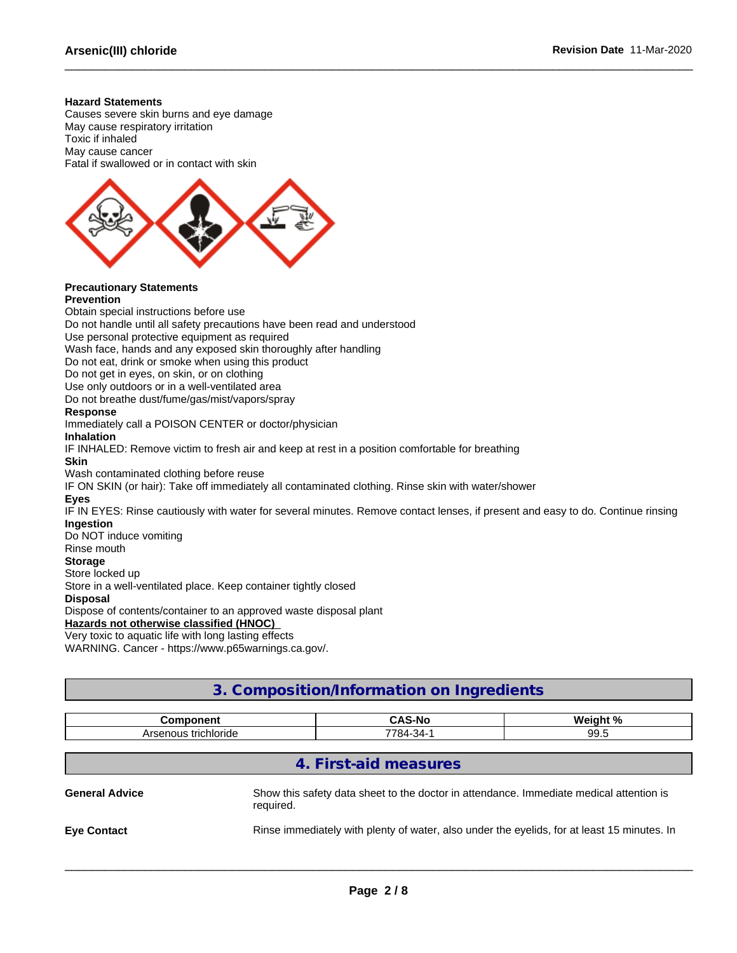#### **Hazard Statements**

Causes severe skin burns and eye damage May cause respiratory irritation Toxic if inhaled May cause cancer Fatal if swallowed or in contact with skin



#### **Precautionary Statements Prevention**

Obtain special instructions before use Do not handle until all safety precautions have been read and understood Use personal protective equipment as required Wash face, hands and any exposed skin thoroughly after handling Do not eat, drink or smoke when using this product Do not get in eyes, on skin, or on clothing Use only outdoors or in a well-ventilated area Do not breathe dust/fume/gas/mist/vapors/spray **Response** Immediately call a POISON CENTER or doctor/physician **Inhalation** IF INHALED: Remove victim to fresh air and keep at rest in a position comfortable for breathing **Skin** Wash contaminated clothing before reuse IF ON SKIN (or hair): Take off immediately all contaminated clothing. Rinse skin with water/shower **Eyes** IF IN EYES: Rinse cautiously with water for several minutes. Remove contact lenses, if present and easy to do. Continue rinsing **Ingestion** Do NOT induce vomiting Rinse mouth **Storage** Store locked up Store in a well-ventilated place. Keep container tightly closed **Disposal** Dispose of contents/container to an approved waste disposal plant **Hazards not otherwise classified (HNOC)** Very toxic to aquatic life with long lasting effects

WARNING. Cancer - https://www.p65warnings.ca.gov/.

## **3. Composition/Information on Ingredients**

| <b>Component</b>      |                                                                                                      | <b>CAS-No</b>                                                                               | Weight % |
|-----------------------|------------------------------------------------------------------------------------------------------|---------------------------------------------------------------------------------------------|----------|
| Arsenous trichloride  |                                                                                                      | 7784-34-1                                                                                   | 99.5     |
|                       |                                                                                                      |                                                                                             |          |
|                       |                                                                                                      | 4. First-aid measures                                                                       |          |
| <b>General Advice</b> | Show this safety data sheet to the doctor in attendance. Immediate medical attention is<br>required. |                                                                                             |          |
| <b>Eye Contact</b>    |                                                                                                      | Rinse immediately with plenty of water, also under the eyelids, for at least 15 minutes. In |          |
|                       |                                                                                                      |                                                                                             |          |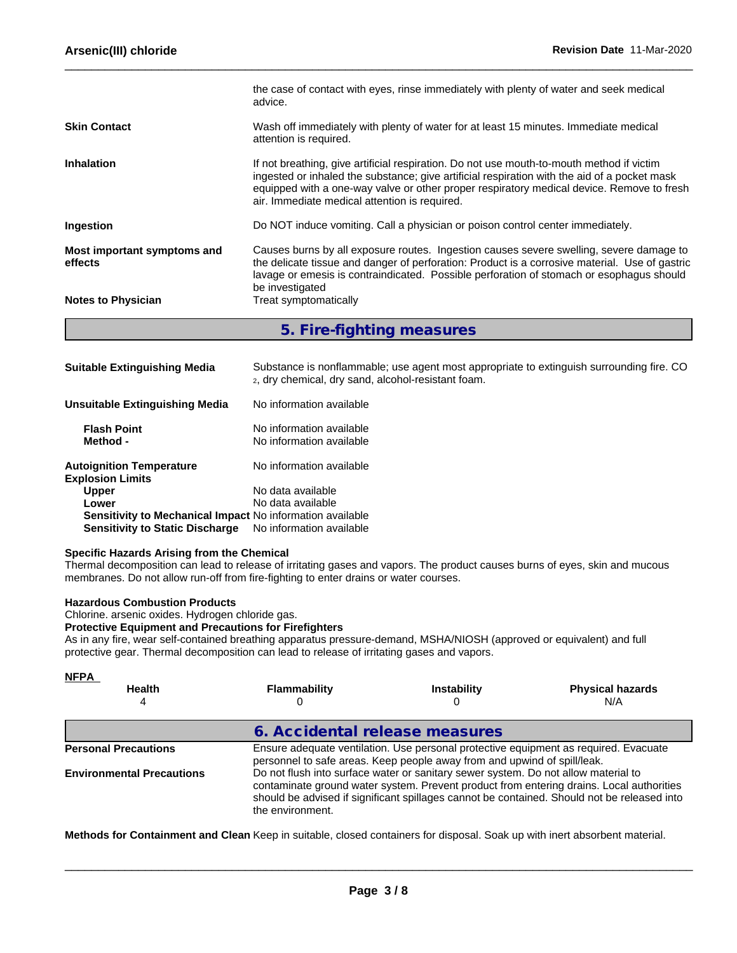|                                        | the case of contact with eyes, rinse immediately with plenty of water and seek medical<br>advice.                                                                                                                                                                                                                                       |  |
|----------------------------------------|-----------------------------------------------------------------------------------------------------------------------------------------------------------------------------------------------------------------------------------------------------------------------------------------------------------------------------------------|--|
| <b>Skin Contact</b>                    | Wash off immediately with plenty of water for at least 15 minutes. Immediate medical<br>attention is required.                                                                                                                                                                                                                          |  |
| <b>Inhalation</b>                      | If not breathing, give artificial respiration. Do not use mouth-to-mouth method if victim<br>ingested or inhaled the substance; give artificial respiration with the aid of a pocket mask<br>equipped with a one-way valve or other proper respiratory medical device. Remove to fresh<br>air. Immediate medical attention is required. |  |
| Ingestion                              | Do NOT induce vomiting. Call a physician or poison control center immediately.                                                                                                                                                                                                                                                          |  |
| Most important symptoms and<br>effects | Causes burns by all exposure routes. Ingestion causes severe swelling, severe damage to<br>the delicate tissue and danger of perforation: Product is a corrosive material. Use of gastric<br>lavage or emesis is contraindicated. Possible perforation of stomach or esophagus should<br>be investigated                                |  |
| <b>Notes to Physician</b>              | Treat symptomatically                                                                                                                                                                                                                                                                                                                   |  |
|                                        |                                                                                                                                                                                                                                                                                                                                         |  |

### **5. Fire-fighting measures**

| <b>Suitable Extinguishing Media</b>                        | Substance is nonflammable; use agent most appropriate to extinguish surrounding fire. CO<br>2, dry chemical, dry sand, alcohol-resistant foam. |
|------------------------------------------------------------|------------------------------------------------------------------------------------------------------------------------------------------------|
| Unsuitable Extinguishing Media                             | No information available                                                                                                                       |
| <b>Flash Point</b><br>Method -                             | No information available<br>No information available                                                                                           |
| <b>Autoignition Temperature</b><br><b>Explosion Limits</b> | No information available                                                                                                                       |
| <b>Upper</b>                                               | No data available                                                                                                                              |
| Lower                                                      | No data available                                                                                                                              |
| Sensitivity to Mechanical Impact No information available  |                                                                                                                                                |
| <b>Sensitivity to Static Discharge</b>                     | No information available                                                                                                                       |

#### **Specific Hazards Arising from the Chemical**

Thermal decomposition can lead to release of irritating gases and vapors. The product causes burns of eyes, skin and mucous membranes. Do not allow run-off from fire-fighting to enter drains or water courses.

### **Hazardous Combustion Products**

Chlorine. arsenic oxides. Hydrogen chloride gas.

### **Protective Equipment and Precautions for Firefighters**

As in any fire, wear self-contained breathing apparatus pressure-demand, MSHA/NIOSH (approved or equivalent) and full protective gear. Thermal decomposition can lead to release of irritating gases and vapors.

| <b>NFPA</b><br><b>Health</b>     | Flammability                   | <b>Instability</b>                                                                 | <b>Physical hazards</b><br>N/A                                                                                                                                                          |
|----------------------------------|--------------------------------|------------------------------------------------------------------------------------|-----------------------------------------------------------------------------------------------------------------------------------------------------------------------------------------|
|                                  | 6. Accidental release measures |                                                                                    |                                                                                                                                                                                         |
| <b>Personal Precautions</b>      |                                | personnel to safe areas. Keep people away from and upwind of spill/leak.           | Ensure adequate ventilation. Use personal protective equipment as required. Evacuate                                                                                                    |
| <b>Environmental Precautions</b> | the environment.               | Do not flush into surface water or sanitary sewer system. Do not allow material to | contaminate ground water system. Prevent product from entering drains. Local authorities<br>should be advised if significant spillages cannot be contained. Should not be released into |

**Methods for Containment and Clean** Keep in suitable, closed containers for disposal. Soak up with inert absorbent material.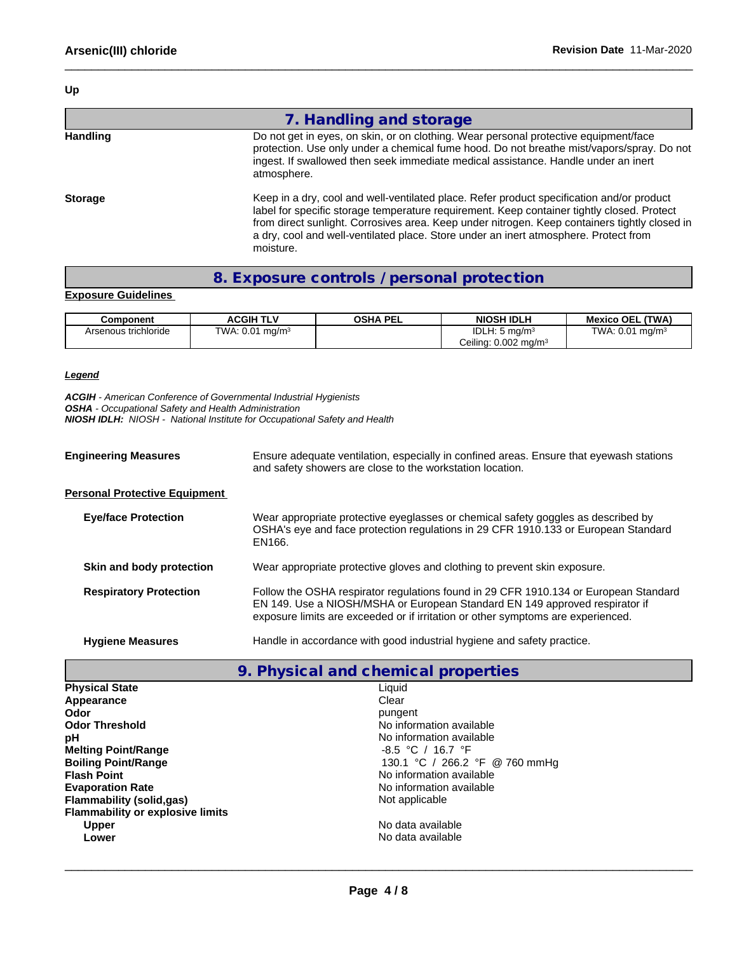**Up**

|                 | 7. Handling and storage                                                                                                                                                                                                                                                                                                                                                                       |
|-----------------|-----------------------------------------------------------------------------------------------------------------------------------------------------------------------------------------------------------------------------------------------------------------------------------------------------------------------------------------------------------------------------------------------|
| <b>Handling</b> | Do not get in eyes, on skin, or on clothing. Wear personal protective equipment/face<br>protection. Use only under a chemical fume hood. Do not breathe mist/vapors/spray. Do not<br>ingest. If swallowed then seek immediate medical assistance. Handle under an inert<br>atmosphere.                                                                                                        |
| <b>Storage</b>  | Keep in a dry, cool and well-ventilated place. Refer product specification and/or product<br>label for specific storage temperature requirement. Keep container tightly closed. Protect<br>from direct sunlight. Corrosives area. Keep under nitrogen. Keep containers tightly closed in<br>a dry, cool and well-ventilated place. Store under an inert atmosphere. Protect from<br>moisture. |

### **8. Exposure controls / personal protection**

### **Exposure Guidelines**

| Component            | <b>ACGIH 7</b><br>דו v     | OSHA<br>، PEL | <b>NIOSH IDLH</b>                  | (TWA)<br><b>Mexico OEL</b>                     |
|----------------------|----------------------------|---------------|------------------------------------|------------------------------------------------|
| Arsenous trichloride | TWA: $0.01 \text{ mg/m}^3$ |               | IDLH: 5<br>ma/m <sup>2</sup>       | TWA.<br>$\cdot$ $\cdot$ $\cap$ $\cdot$<br>mg/m |
|                      |                            |               | Ceiling: $0.002$ mg/m <sup>3</sup> |                                                |

### *Legend*

*ACGIH - American Conference of Governmental Industrial Hygienists OSHA - Occupational Safety and Health Administration*

*NIOSH IDLH: NIOSH - National Institute for Occupational Safety and Health*

| <b>Engineering Measures</b>          | Ensure adequate ventilation, especially in confined areas. Ensure that eyewash stations<br>and safety showers are close to the workstation location.                              |  |
|--------------------------------------|-----------------------------------------------------------------------------------------------------------------------------------------------------------------------------------|--|
| <b>Personal Protective Equipment</b> |                                                                                                                                                                                   |  |
| <b>Eye/face Protection</b>           | Wear appropriate protective eyeglasses or chemical safety goggles as described by<br>OSHA's eye and face protection regulations in 29 CFR 1910.133 or European Standard<br>EN166. |  |
| Skin and body protection             | Wear appropriate protective gloves and clothing to prevent skin exposure.                                                                                                         |  |
| <b>Respiratory Protection</b>        | Follow the OSHA respirator regulations found in 29 CFR 1910.134 or European Standard<br>EN 149. Use a NIOSH/MSHA or European Standard EN 149 approved respirator if               |  |

| <b>Hygiene Measures</b> | Handle in accordance with good industrial hygiene and safety practice. |  |
|-------------------------|------------------------------------------------------------------------|--|

## **9. Physical and chemical properties**

exposure limits are exceeded or if irritation or other symptoms are experienced.

| <b>Physical State</b>                   | Liquid                         |
|-----------------------------------------|--------------------------------|
| Appearance                              | Clear                          |
| Odor                                    | pungent                        |
| <b>Odor Threshold</b>                   | No information available       |
| рH                                      | No information available       |
| <b>Melting Point/Range</b>              | $-8.5$ °C / 16.7 °F            |
| <b>Boiling Point/Range</b>              | 130.1 °C / 266.2 °F @ 760 mmHg |
| <b>Flash Point</b>                      | No information available       |
| <b>Evaporation Rate</b>                 | No information available       |
| Flammability (solid, qas)               | Not applicable                 |
| <b>Flammability or explosive limits</b> |                                |
| <b>Upper</b>                            | No data available              |
| Lower                                   | No data available              |
|                                         |                                |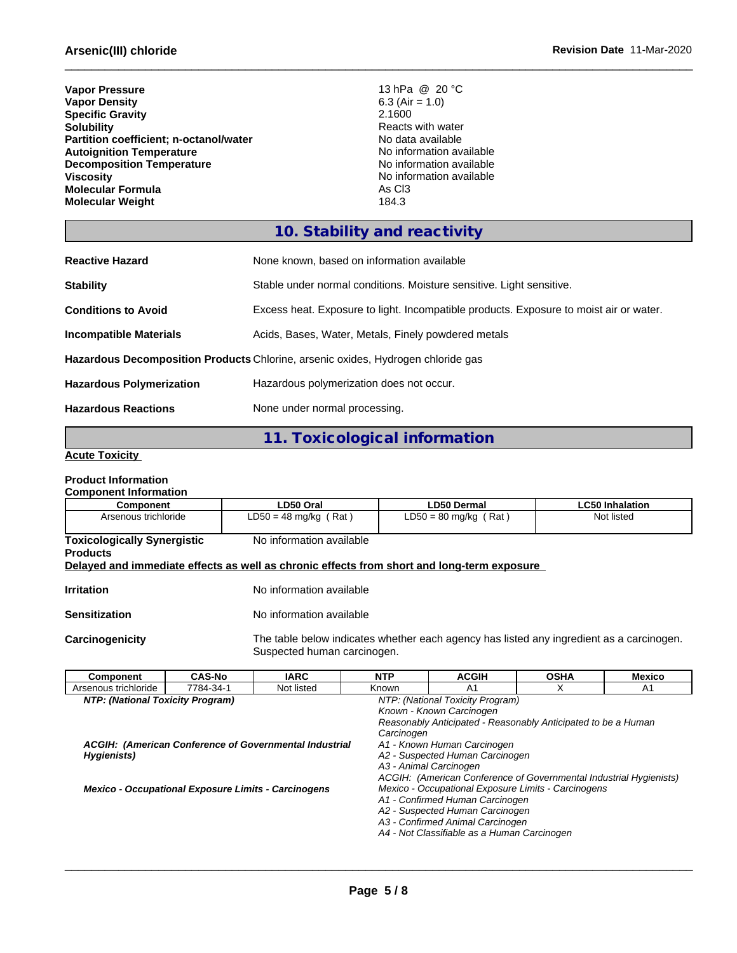| <b>Vapor Pressure</b>                  | 13 hPa @ 20 °C           |
|----------------------------------------|--------------------------|
| <b>Vapor Density</b>                   | 6.3 (Air = $1.0$ )       |
| <b>Specific Gravity</b>                | 2.1600                   |
| <b>Solubility</b>                      | Reacts with water        |
| Partition coefficient; n-octanol/water | No data available        |
| <b>Autoignition Temperature</b>        | No information available |
| <b>Decomposition Temperature</b>       | No information available |
| <b>Viscosity</b>                       | No information available |
| <b>Molecular Formula</b>               | As C <sub>3</sub>        |
| <b>Molecular Weight</b>                | 184.3                    |

## **10. Stability and reactivity**

| <b>Reactive Hazard</b>                                                           | None known, based on information available                                             |  |
|----------------------------------------------------------------------------------|----------------------------------------------------------------------------------------|--|
| <b>Stability</b>                                                                 | Stable under normal conditions. Moisture sensitive. Light sensitive.                   |  |
| <b>Conditions to Avoid</b>                                                       | Excess heat. Exposure to light. Incompatible products. Exposure to moist air or water. |  |
| <b>Incompatible Materials</b>                                                    | Acids, Bases, Water, Metals, Finely powdered metals                                    |  |
| Hazardous Decomposition Products Chlorine, arsenic oxides, Hydrogen chloride gas |                                                                                        |  |
| <b>Hazardous Polymerization</b>                                                  | Hazardous polymerization does not occur.                                               |  |
| <b>Hazardous Reactions</b>                                                       | None under normal processing.                                                          |  |

## **11. Toxicological information**

### **Acute Toxicity**

#### **Product Information Component Information**

| Component                                                                                  | LD50 Oral                   | <b>LD50 Dermal</b>                                                                       | <b>LC50 Inhalation</b> |
|--------------------------------------------------------------------------------------------|-----------------------------|------------------------------------------------------------------------------------------|------------------------|
| Arsenous trichloride                                                                       | $LD50 = 48$ mg/kg (Rat)     | $LD50 = 80$ mg/kg (Rat)                                                                  | Not listed             |
| <b>Toxicologically Synergistic</b><br><b>Products</b>                                      | No information available    |                                                                                          |                        |
| Delayed and immediate effects as well as chronic effects from short and long-term exposure |                             |                                                                                          |                        |
| <b>Irritation</b>                                                                          | No information available    |                                                                                          |                        |
| <b>Sensitization</b>                                                                       | No information available    |                                                                                          |                        |
| Carcinogenicity                                                                            | Suspected human carcinogen. | The table below indicates whether each agency has listed any ingredient as a carcinogen. |                        |

| <b>Component</b>                 | <b>CAS-No</b>                                       | <b>IARC</b>                                            | <b>NTP</b> | <b>ACGIH</b>                                                       | <b>OSHA</b> | <b>Mexico</b> |
|----------------------------------|-----------------------------------------------------|--------------------------------------------------------|------------|--------------------------------------------------------------------|-------------|---------------|
| Arsenous trichloride             | 7784-34-1                                           | Not listed                                             | Known      | A1                                                                 | X           | A1            |
| NTP: (National Toxicity Program) |                                                     |                                                        |            | NTP: (National Toxicity Program)                                   |             |               |
|                                  |                                                     |                                                        |            | Known - Known Carcinogen                                           |             |               |
|                                  |                                                     |                                                        |            | Reasonably Anticipated - Reasonably Anticipated to be a Human      |             |               |
|                                  |                                                     |                                                        | Carcinogen |                                                                    |             |               |
|                                  |                                                     | ACGIH: (American Conference of Governmental Industrial |            | A1 - Known Human Carcinogen                                        |             |               |
| Hygienists)                      |                                                     |                                                        |            | A2 - Suspected Human Carcinogen                                    |             |               |
|                                  |                                                     |                                                        |            | A3 - Animal Carcinogen                                             |             |               |
|                                  |                                                     |                                                        |            | ACGIH: (American Conference of Governmental Industrial Hygienists) |             |               |
|                                  | Mexico - Occupational Exposure Limits - Carcinogens |                                                        |            | Mexico - Occupational Exposure Limits - Carcinogens                |             |               |
|                                  |                                                     |                                                        |            | A1 - Confirmed Human Carcinogen                                    |             |               |
|                                  |                                                     |                                                        |            | A2 - Suspected Human Carcinogen                                    |             |               |
|                                  |                                                     |                                                        |            | A3 - Confirmed Animal Carcinogen                                   |             |               |
|                                  |                                                     |                                                        |            | A4 - Not Classifiable as a Human Carcinogen                        |             |               |
|                                  |                                                     |                                                        |            |                                                                    |             |               |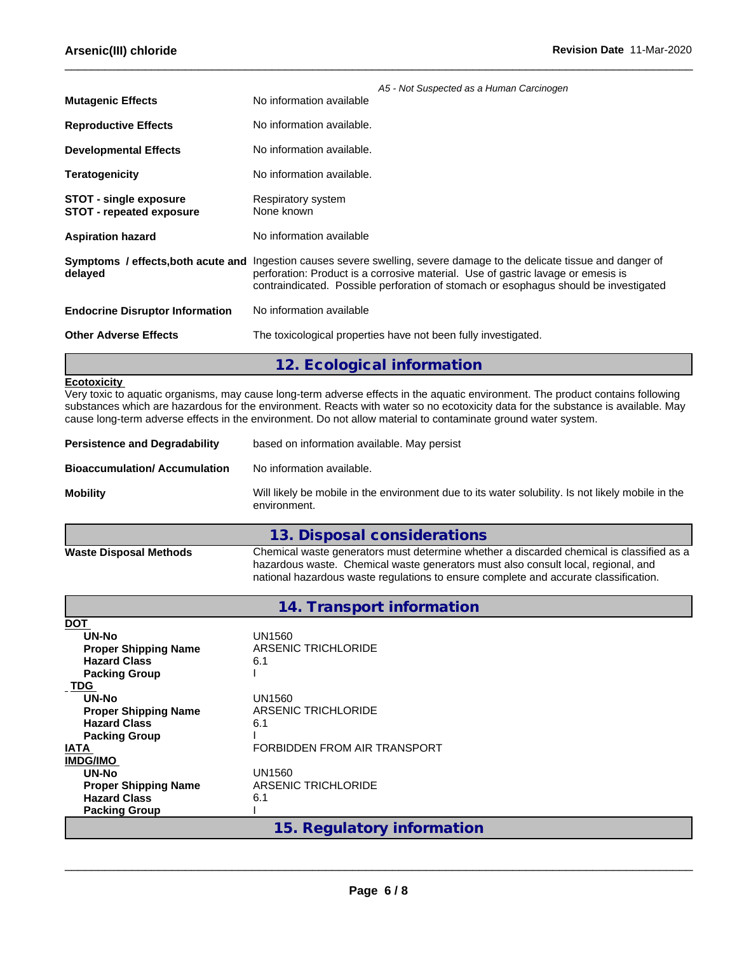|                                                                  | A5 - Not Suspected as a Human Carcinogen                                                                                                                                                                                                                                                            |
|------------------------------------------------------------------|-----------------------------------------------------------------------------------------------------------------------------------------------------------------------------------------------------------------------------------------------------------------------------------------------------|
| <b>Mutagenic Effects</b>                                         | No information available                                                                                                                                                                                                                                                                            |
| <b>Reproductive Effects</b>                                      | No information available.                                                                                                                                                                                                                                                                           |
| <b>Developmental Effects</b>                                     | No information available.                                                                                                                                                                                                                                                                           |
| <b>Teratogenicity</b>                                            | No information available.                                                                                                                                                                                                                                                                           |
| <b>STOT - single exposure</b><br><b>STOT - repeated exposure</b> | Respiratory system<br>None known                                                                                                                                                                                                                                                                    |
| <b>Aspiration hazard</b>                                         | No information available                                                                                                                                                                                                                                                                            |
| delayed                                                          | Symptoms / effects, both acute and Ingestion causes severe swelling, severe damage to the delicate tissue and danger of<br>perforation: Product is a corrosive material. Use of gastric lavage or emesis is<br>contraindicated. Possible perforation of stomach or esophagus should be investigated |
| <b>Endocrine Disruptor Information</b>                           | No information available                                                                                                                                                                                                                                                                            |
| <b>Other Adverse Effects</b>                                     | The toxicological properties have not been fully investigated.                                                                                                                                                                                                                                      |
|                                                                  | 12. Ecological information                                                                                                                                                                                                                                                                          |

### **Ecotoxicity**

Very toxic to aquatic organisms, may cause long-term adverse effects in the aquatic environment. The product contains following substances which are hazardous for the environment. Reacts with water so no ecotoxicity data for the substance is available. May cause long-term adverse effects in the environment. Do not allow material to contaminate ground water system.

| <b>Persistence and Degradability</b> | based on information available. May persist                                                                       |  |
|--------------------------------------|-------------------------------------------------------------------------------------------------------------------|--|
| <b>Bioaccumulation/Accumulation</b>  | No information available.                                                                                         |  |
| <b>Mobility</b>                      | Will likely be mobile in the environment due to its water solubility. Is not likely mobile in the<br>environment. |  |
|                                      | 12 Dienneal considerations                                                                                        |  |

|                               | ru. Disposar considerations                                                              |
|-------------------------------|------------------------------------------------------------------------------------------|
| <b>Waste Disposal Methods</b> | Chemical waste generators must determine whether a discarded chemical is classified as a |
|                               | hazardous waste. Chemical waste generators must also consult local, regional, and        |
|                               | national hazardous waste regulations to ensure complete and accurate classification.     |

| 14. Transport information |  |
|---------------------------|--|
|---------------------------|--|

| DOT                         |                              |  |
|-----------------------------|------------------------------|--|
| UN-No                       | UN1560                       |  |
| <b>Proper Shipping Name</b> | ARSENIC TRICHLORIDE          |  |
| <b>Hazard Class</b>         | 6.1                          |  |
| <b>Packing Group</b>        |                              |  |
| <b>TDG</b>                  |                              |  |
| UN-No                       | UN1560                       |  |
| <b>Proper Shipping Name</b> | ARSENIC TRICHLORIDE          |  |
| <b>Hazard Class</b>         | 6.1                          |  |
| <b>Packing Group</b>        |                              |  |
| IATA                        | FORBIDDEN FROM AIR TRANSPORT |  |
| <b>IMDG/IMO</b>             |                              |  |
| UN-No                       | UN1560                       |  |
| <b>Proper Shipping Name</b> | ARSENIC TRICHLORIDE          |  |
| <b>Hazard Class</b>         | 6.1                          |  |
| <b>Packing Group</b>        |                              |  |
|                             | 15. Regulatory information   |  |
|                             |                              |  |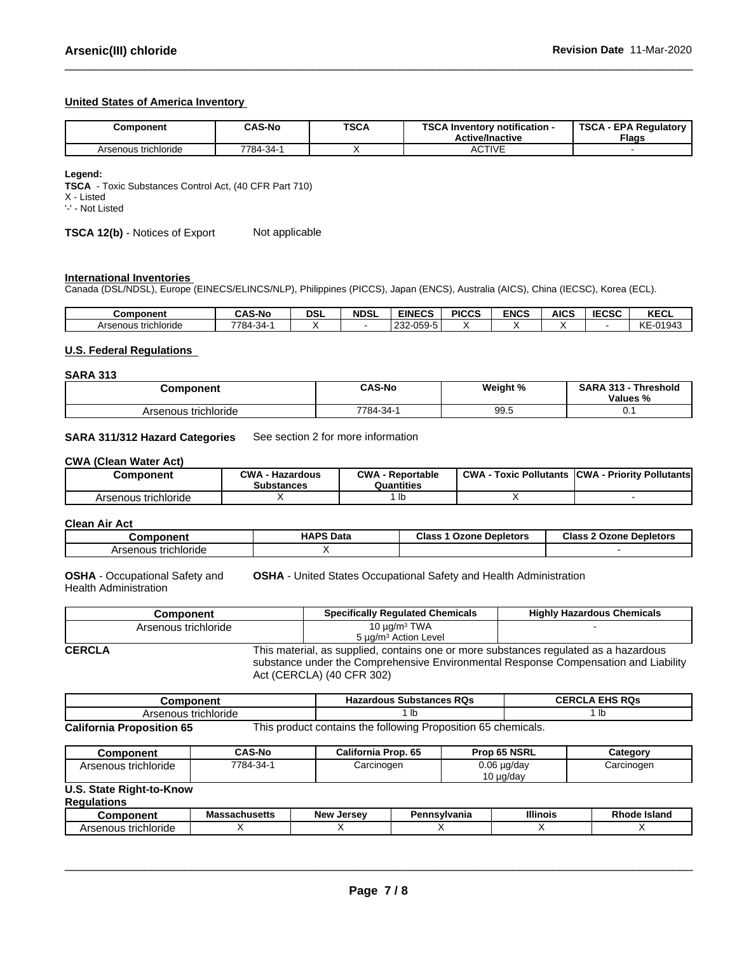### **United States of America Inventory**

| Component            | <b>CAS-No</b>   | <b>TSCA</b> | TOO A L<br>Inventory notification -<br>コレパ<br><b>Active/Inactive</b> | TSCA<br>A - EPA Regulatory '<br><b>Flags</b> |
|----------------------|-----------------|-------------|----------------------------------------------------------------------|----------------------------------------------|
| Arsenous trichloride | $7784 - 34 - 1$ |             | <b>CTIVE</b><br>AUITE                                                |                                              |

**Legend:**

**TSCA** - Toxic Substances Control Act, (40 CFR Part 710)

X - Listed

'-' - Not Listed

**TSCA 12(b)** - Notices of Export Not applicable

### **International Inventories**

Canada (DSL/NDSL), Europe (EINECS/ELINCS/NLP), Philippines (PICCS), Japan (ENCS), Australia (AICS), China (IECSC), Korea (ECL).

| <b>Component</b>     | <b>CAS-No</b>                     | <b>DSL</b> | <b>NDSL</b> | <b>EINECS</b>                                                            | <b>PICCS</b> | <b>ENCS</b> | <b>AICS</b> | rrcc<br>טסט: | レヒヘリ<br>ncul                          |
|----------------------|-----------------------------------|------------|-------------|--------------------------------------------------------------------------|--------------|-------------|-------------|--------------|---------------------------------------|
| Arsenous trichloride | $7784 -$<br>$\sim$ $\sim$<br>-34- |            |             | <b>OEO</b><br>$\overline{\phantom{0}}$<br>$\sim$<br>u_n<br>عە∠<br>-ບບວ-ບ |              |             |             |              | iz E<br>0.40.45<br>ч4<br>◝◟<br>-טוט+ט |

### **U.S. Federal Regulations**

### **SARA 313**

| <b>Component</b>     | <b>CAS-No</b>   | Weight %   | <b>SARA 313</b><br>Threshold<br>۔ د اد . |  |
|----------------------|-----------------|------------|------------------------------------------|--|
|                      |                 |            | Values<br>"∕o                            |  |
| Arsenous trichloride | -34<br>$7784 -$ | aa<br>ວວ.ບ | ◡.                                       |  |

### **SARA 311/312 Hazard Categories** See section 2 for more information

### **CWA** (Clean Water Act)

| Component            | $\sim$ MA<br>- Hazardous<br><b>Substances</b> | <b>CWA</b><br>· Reportable<br>Quantities | <b>CWA</b><br>: Pollutants<br>Toxic | <b>ICWA</b><br>- Priority Pollutants |
|----------------------|-----------------------------------------------|------------------------------------------|-------------------------------------|--------------------------------------|
| Arsenous trichloride |                                               | ID                                       |                                     |                                      |

**Clean Air Act**

| Component            | <b>HAPS Data</b> | <b>Class</b><br><b>Ozone Depletors</b> | Class 2<br>Ozone<br><b>Depletors</b> |
|----------------------|------------------|----------------------------------------|--------------------------------------|
| Arsenous trichloride |                  |                                        |                                      |

**OSHA** - Occupational Safety and Health Administration **OSHA** - United States Occupational Safety and Health Administration

|               | Component                                                                            | <b>Specifically Requlated Chemicals</b>                                             | <b>Highly Hazardous Chemicals</b> |
|---------------|--------------------------------------------------------------------------------------|-------------------------------------------------------------------------------------|-----------------------------------|
|               | Arsenous trichloride                                                                 | 10 $\mu$ g/m <sup>3</sup> TWA                                                       |                                   |
|               |                                                                                      | 5 µg/m <sup>3</sup> Action Level                                                    |                                   |
| <b>CERCLA</b> | This material, as supplied, contains one or more substances regulated as a hazardous |                                                                                     |                                   |
|               |                                                                                      | substance under the Comprehensive Environmental Response Compensation and Liability |                                   |

Act (CERCLA) (40 CFR 302)

| Component                        |  | Hazardous Substances RQs                                      | <b>CERCLA EHS RQS</b> |
|----------------------------------|--|---------------------------------------------------------------|-----------------------|
| Arsenous trichloride             |  |                                                               |                       |
| <b>California Proposition 65</b> |  | This product contains the following Proposition 65 chemicals. |                       |

| <b>Component</b>                               | <b>CAS-No</b> | California Prop. 65 | Prop 65 NSRL                       | Category   |
|------------------------------------------------|---------------|---------------------|------------------------------------|------------|
| Arsenous trichloride                           | 7784-34-1     | Carcinogen          | $0.06 \mu g/day$<br>$10 \mu q$ day | Carcinogen |
| U.S. State Right-to-Know<br><b>Regulations</b> |               |                     |                                    |            |

| .                                    | 1100<br>Massachusetts | I<br><b>New</b><br>JU. | <b>vivania</b><br>ъ. | <b>Illinois</b> | <b>Island</b> |
|--------------------------------------|-----------------------|------------------------|----------------------|-----------------|---------------|
| richloride<br>r<br>--<br>55<br>.<br> |                       |                        |                      |                 |               |